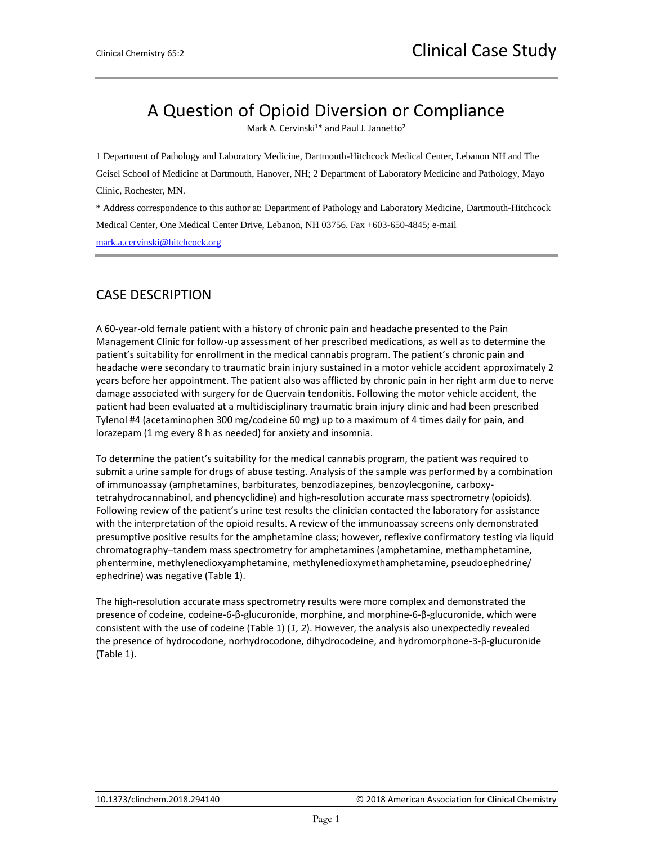# A Question of Opioid Diversion or Compliance

Mark A. Cervinski<sup>1\*</sup> and Paul J. Jannetto<sup>2</sup>

1 Department of Pathology and Laboratory Medicine, Dartmouth-Hitchcock Medical Center, Lebanon NH and The Geisel School of Medicine at Dartmouth, Hanover, NH; 2 Department of Laboratory Medicine and Pathology, Mayo Clinic, Rochester, MN.

\* Address correspondence to this author at: Department of Pathology and Laboratory Medicine, Dartmouth-Hitchcock Medical Center, One Medical Center Drive, Lebanon, NH 03756. Fax +603-650-4845; e-mail [mark.a.cervinski@hitchcock.org](mailto:mark.a.cervinski@hitchcock.org)

## CASE DESCRIPTION

A 60-year-old female patient with a history of chronic pain and headache presented to the Pain Management Clinic for follow-up assessment of her prescribed medications, as well as to determine the patient's suitability for enrollment in the medical cannabis program. The patient's chronic pain and headache were secondary to traumatic brain injury sustained in a motor vehicle accident approximately 2 years before her appointment. The patient also was afflicted by chronic pain in her right arm due to nerve damage associated with surgery for de Quervain tendonitis. Following the motor vehicle accident, the patient had been evaluated at a multidisciplinary traumatic brain injury clinic and had been prescribed Tylenol #4 (acetaminophen 300 mg/codeine 60 mg) up to a maximum of 4 times daily for pain, and lorazepam (1 mg every 8 h as needed) for anxiety and insomnia.

To determine the patient's suitability for the medical cannabis program, the patient was required to submit a urine sample for drugs of abuse testing. Analysis of the sample was performed by a combination of immunoassay (amphetamines, barbiturates, benzodiazepines, benzoylecgonine, carboxytetrahydrocannabinol, and phencyclidine) and high-resolution accurate mass spectrometry (opioids). Following review of the patient's urine test results the clinician contacted the laboratory for assistance with the interpretation of the opioid results. A review of the immunoassay screens only demonstrated presumptive positive results for the amphetamine class; however, reflexive confirmatory testing via liquid chromatography–tandem mass spectrometry for amphetamines (amphetamine, methamphetamine, phentermine, methylenedioxyamphetamine, methylenedioxymethamphetamine, pseudoephedrine/ ephedrine) was negative (Table 1).

The high-resolution accurate mass spectrometry results were more complex and demonstrated the presence of codeine, codeine-6-β-glucuronide, morphine, and morphine-6-β-glucuronide, which were consistent with the use of codeine (Table 1) (*1, 2*). However, the analysis also unexpectedly revealed the presence of hydrocodone, norhydrocodone, dihydrocodeine, and hydromorphone-3-β-glucuronide (Table 1).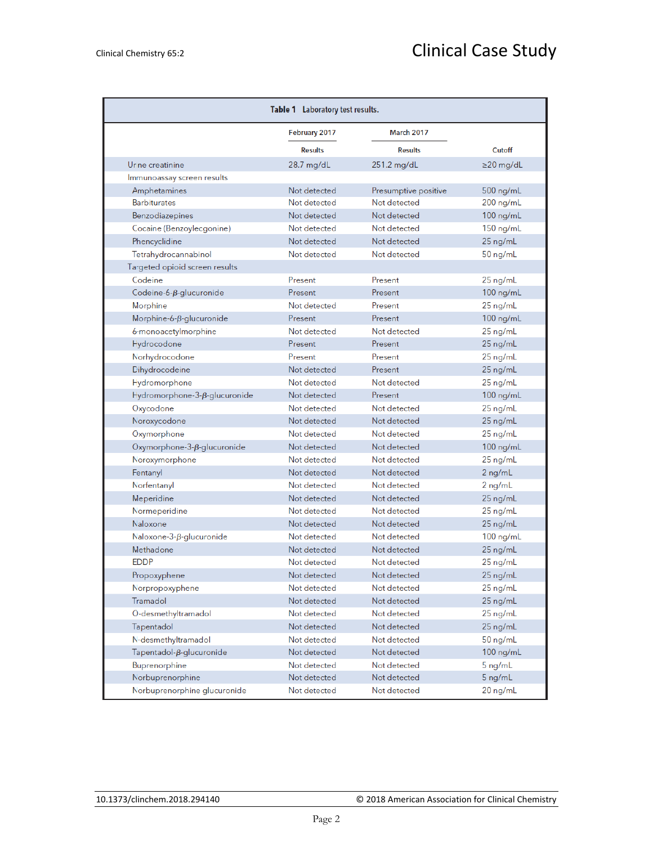| Table 1 Laboratory test results.    |                |                      |                 |
|-------------------------------------|----------------|----------------------|-----------------|
|                                     | February 2017  | <b>March 2017</b>    |                 |
|                                     | <b>Results</b> | <b>Results</b>       | Cutoff          |
| Urine creatinine                    | 28.7 mg/dL     | 251.2 mg/dL          | $\geq$ 20 mg/dL |
| Immunoassay screen results          |                |                      |                 |
| Amphetamines                        | Not detected   | Presumptive positive | 500 ng/mL       |
| <b>Barbiturates</b>                 | Not detected   | Not detected         | $200$ ng/mL     |
| Benzodiazepines                     | Not detected   | Not detected         | $100$ ng/mL     |
| Cocaine (Benzoylecgonine)           | Not detected   | Not detected         | 150 ng/mL       |
| Phencyclidine                       | Not detected   | Not detected         | $25$ ng/mL      |
| Tetrahydrocannabinol                | Not detected   | Not detected         | 50 ng/mL        |
| Targeted opioid screen results      |                |                      |                 |
| Codeine                             | Present        | Present              | 25 ng/mL        |
| Codeine-6- $\beta$ -glucuronide     | Present        | Present              | $100$ ng/mL     |
| Morphine                            | Not detected   | Present              | 25 ng/mL        |
| Morphine-6- $\beta$ -glucuronide    | Present        | Present              | 100 ng/mL       |
| 6-monoacetylmorphine                | Not detected   | Not detected         | 25 ng/mL        |
| Hydrocodone                         | Present        | Present              | 25 ng/mL        |
| Norhydrocodone                      | Present        | Present              | 25 ng/mL        |
| Dihydrocodeine                      | Not detected   | Present              | $25$ ng/mL      |
| Hydromorphone                       | Not detected   | Not detected         | 25 ng/mL        |
| Hydromorphone-3-ß-glucuronide       | Not detected   | Present              | $100$ ng/mL     |
| Oxycodone                           | Not detected   | Not detected         | 25 ng/mL        |
| Noroxycodone                        | Not detected   | Not detected         | 25 ng/mL        |
| Oxymorphone                         | Not detected   | Not detected         | 25 ng/mL        |
| Oxymorphone- $3-\beta$ -glucuronide | Not detected   | Not detected         | 100 ng/mL       |
| Noroxymorphone                      | Not detected   | Not detected         | 25 ng/mL        |
| Fentanyl                            | Not detected   | Not detected         | 2 ng/mL         |
| Norfentanyl                         | Not detected   | Not detected         | 2 ng/mL         |
| Meperidine                          | Not detected   | Not detected         | 25 ng/mL        |
| Normeperidine                       | Not detected   | Not detected         | 25 ng/mL        |
| Naloxone                            | Not detected   | Not detected         | 25 ng/mL        |
| Naloxone-3- $\beta$ -glucuronide    | Not detected   | Not detected         | 100 ng/mL       |
| Methadone                           | Not detected   | Not detected         | 25 ng/mL        |
| <b>EDDP</b>                         | Not detected   | Not detected         | 25 ng/mL        |
| Propoxyphene                        | Not detected   | Not detected         | 25 ng/mL        |
| Norpropoxyphene                     | Not detected   | Not detected         | 25 ng/mL        |
| Tramadol                            | Not detected   | Not detected         | 25 ng/mL        |
| O-desmethyltramadol                 | Not detected   | Not detected         | 25 ng/mL        |
| Tapentadol                          | Not detected   | Not detected         | 25 ng/mL        |
| N-desmethyltramadol                 | Not detected   | Not detected         | $50$ ng/mL      |
| $Tapentadol-\beta-glucuronide$      | Not detected   | Not detected         | $100$ ng/mL     |
| Buprenorphine                       | Not detected   | Not detected         | 5 ng/mL         |
| Norbuprenorphine                    | Not detected   | Not detected         | 5 ng/mL         |
| Norbuprenorphine glucuronide        | Not detected   | Not detected         | 20 ng/mL        |